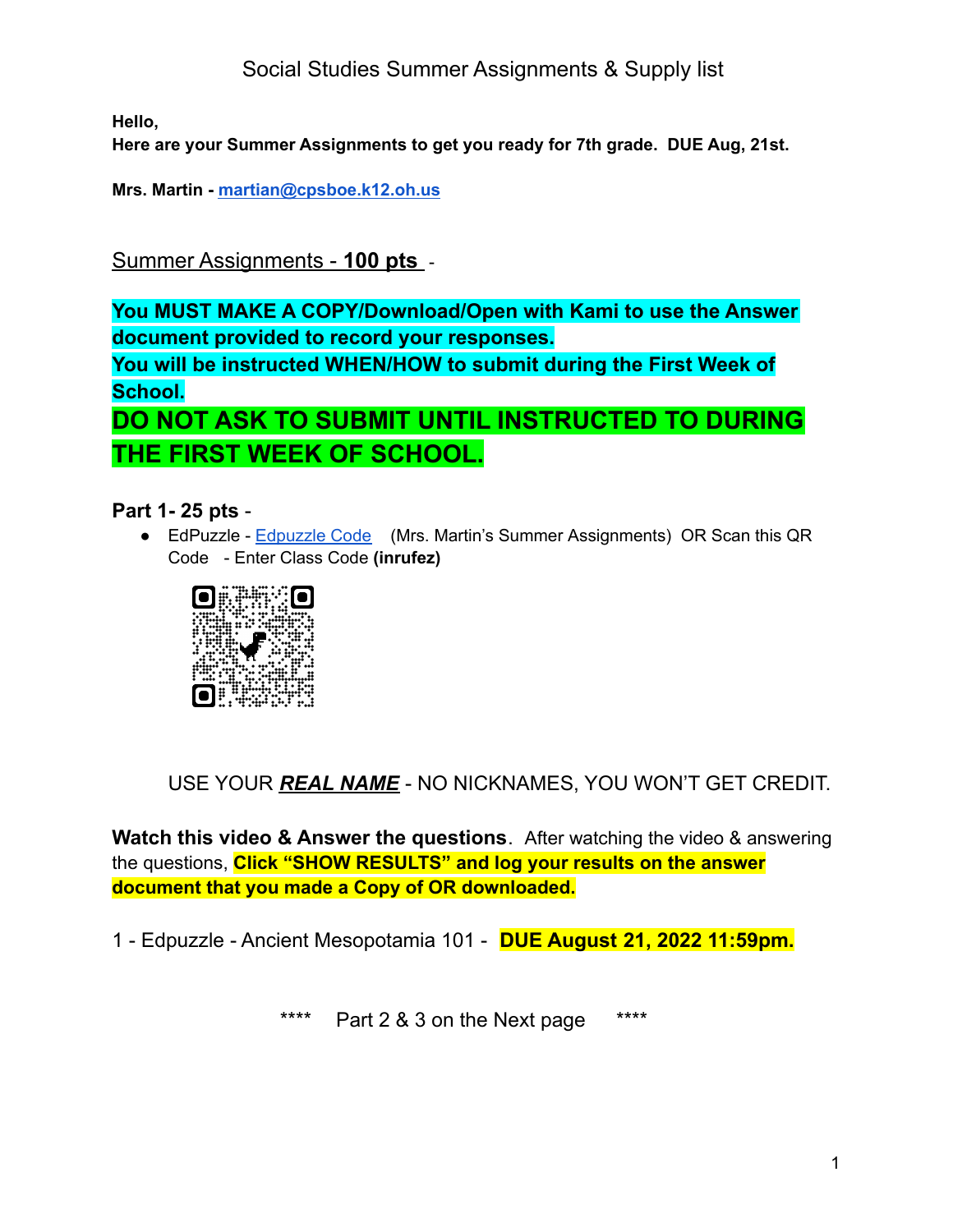Social Studies Summer Assignments & Supply list

**Hello,**

**Here are your Summer Assignments to get you ready for 7th grade. DUE Aug, 21st.**

**Mrs. Martin - [martian@cpsboe.k12.oh.us](mailto:martian@cpsboe.k12.oh.us)**

Summer Assignments - **100 pts** -

**You MUST MAKE A COPY/Download/Open with Kami to use the Answer document provided to record your responses.**

**You will be instructed WHEN/HOW to submit during the First Week of School.**

**DO NOT ASK TO SUBMIT UNTIL INSTRUCTED TO DURING THE FIRST WEEK OF SCHOOL.**

## **Part 1- 25 pts** -

● EdPuzzle - [Edpuzzle](https://edpuzzle.com/open/inrufez) Code (Mrs. Martin's Summer Assignments) OR Scan this QR Code - Enter Class Code **(inrufez)**



USE YOUR *REAL NAME* - NO NICKNAMES, YOU WON'T GET CREDIT.

**Watch this video & Answer the questions**. After watching the video & answering the questions, **Click "SHOW RESULTS" and log your results on the answer document that you made a Copy of OR downloaded.**

1 - Edpuzzle - Ancient Mesopotamia 101 - **DUE August 21, 2022 11:59pm.**

\*\*\*\* Part 2 & 3 on the Next page \*\*\*\*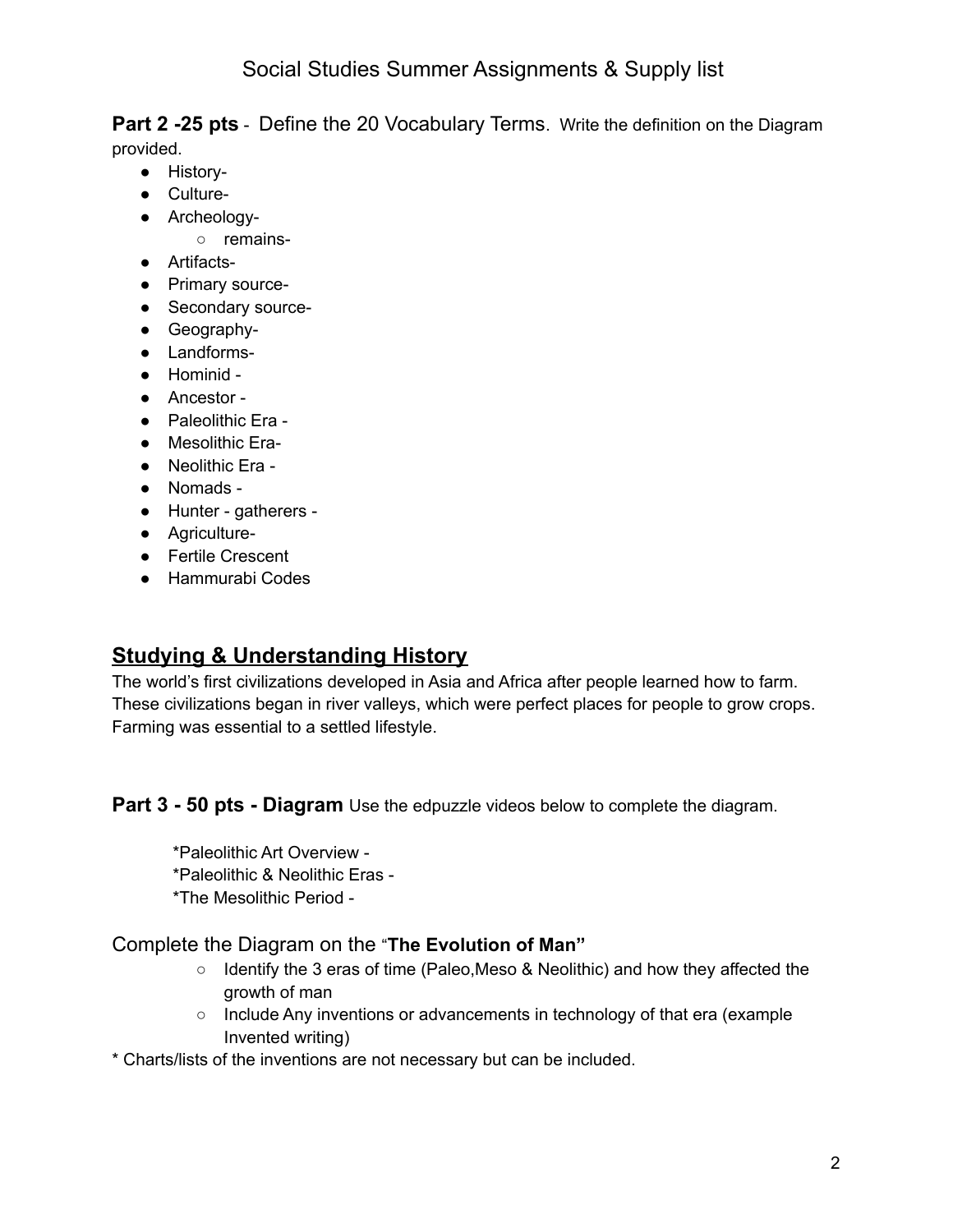**Part 2 -25 pts** - Define the 20 Vocabulary Terms. Write the definition on the Diagram provided.

- History-
- Culture-
- Archeology-
	- remains-
- Artifacts-
- Primary source-
- Secondary source-
- Geography-
- Landforms-
- Hominid -
- Ancestor -
- Paleolithic Era -
- Mesolithic Era-
- Neolithic Era -
- Nomads -
- Hunter gatherers -
- Agriculture-
- Fertile Crescent
- Hammurabi Codes

## **Studying & Understanding History**

The world's first civilizations developed in Asia and Africa after people learned how to farm. These civilizations began in river valleys, which were perfect places for people to grow crops. Farming was essential to a settled lifestyle.

**Part 3 - 50 pts - Diagram** Use the edpuzzle videos below to complete the diagram.

\*Paleolithic Art Overview - \*Paleolithic & Neolithic Eras - \*The Mesolithic Period -

## Complete the Diagram on the "**The Evolution of Man"**

- Identify the 3 eras of time (Paleo,Meso & Neolithic) and how they affected the growth of man
- Include Any inventions or advancements in technology of that era (example Invented writing)
- \* Charts/lists of the inventions are not necessary but can be included.